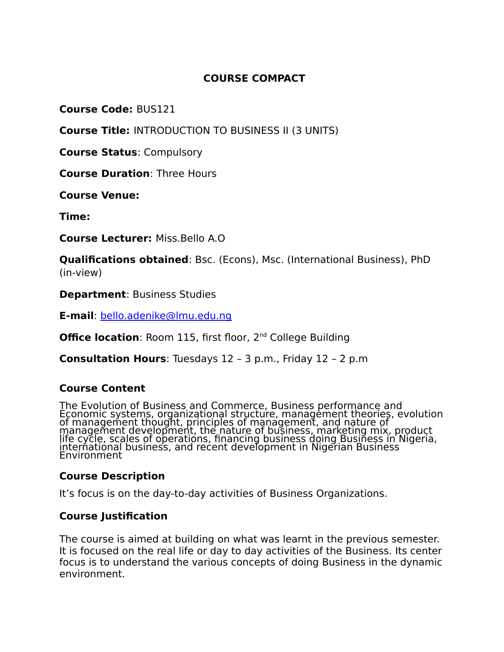# **COURSE COMPACT**

**Course Code:** BUS121

**Course Title:** INTRODUCTION TO BUSINESS II (3 UNITS)

**Course Status**: Compulsory

**Course Duration**: Three Hours

**Course Venue:**

**Time:** 

**Course Lecturer:** Miss.Bello A.O

**Qualifications obtained**: Bsc. (Econs), Msc. (International Business), PhD (in-view)

**Department**: Business Studies

**E-mail**: [bello.adenike@lmu.edu.ng](mailto:bello.adenike@lmu.edu.ng)

**Office location**: Room 115, first floor, 2<sup>nd</sup> College Building

**Consultation Hours**: Tuesdays 12 – 3 p.m., Friday 12 – 2 p.m

#### **Course Content**

The Evolution of Business and Commerce, Business performance and Economic systems, organizational structure, management theories, evolution of management thought, principles of management, and nature of management development, the nature of business, marketing mix, product life cycle, scales of operations, financing business doing Business in Nigeria, international business, and recent development in Nigerian Business Environment

#### **Course Description**

It's focus is on the day-to-day activities of Business Organizations.

#### **Course Justification**

The course is aimed at building on what was learnt in the previous semester. It is focused on the real life or day to day activities of the Business. Its center focus is to understand the various concepts of doing Business in the dynamic environment.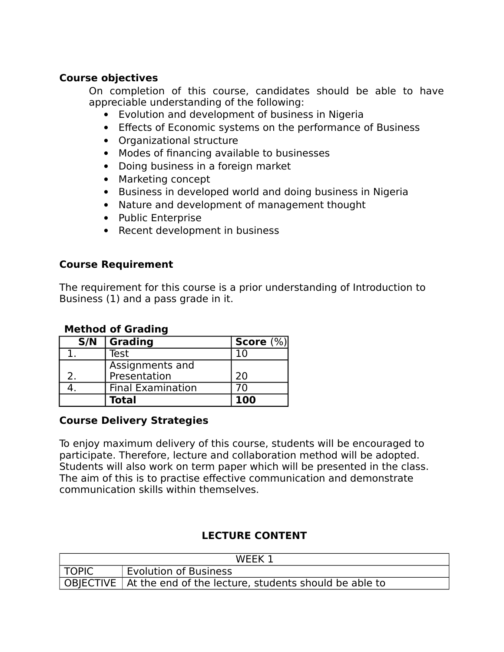## **Course objectives**

On completion of this course, candidates should be able to have appreciable understanding of the following:

- Evolution and development of business in Nigeria
- Effects of Economic systems on the performance of Business
- Organizational structure
- Modes of financing available to businesses
- Doing business in a foreign market
- Marketing concept
- Business in developed world and doing business in Nigeria
- Nature and development of management thought
- Public Enterprise
- Recent development in business

#### **Course Requirement**

The requirement for this course is a prior understanding of Introduction to Business (1) and a pass grade in it.

#### **Method of Grading**

| S/N           | Grading                  | Score $(\%)$ |
|---------------|--------------------------|--------------|
|               | Test                     |              |
|               | Assignments and          |              |
| $\mathcal{P}$ | Presentation             | 20           |
|               | <b>Final Examination</b> | 70           |
|               | <b>Total</b>             | 100          |

#### **Course Delivery Strategies**

To enjoy maximum delivery of this course, students will be encouraged to participate. Therefore, lecture and collaboration method will be adopted. Students will also work on term paper which will be presented in the class. The aim of this is to practise effective communication and demonstrate communication skills within themselves.

## **LECTURE CONTENT**

| WFFK <sup>-</sup> |                                                                   |
|-------------------|-------------------------------------------------------------------|
| TOPIC             | <b>Evolution of Business</b>                                      |
|                   | OBJECTIVE   At the end of the lecture, students should be able to |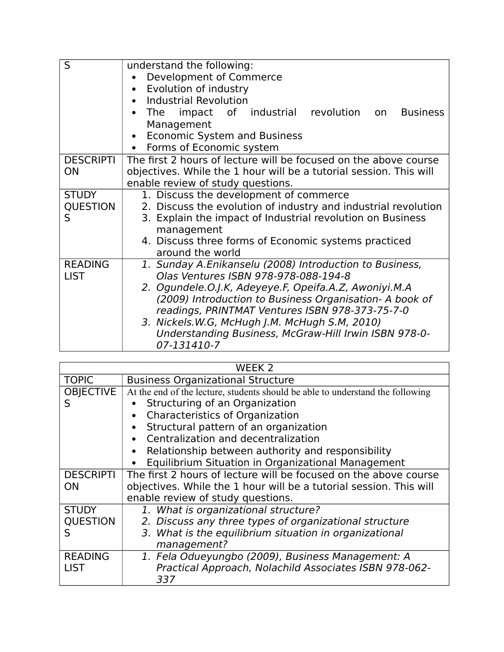| S                                    | understand the following:<br>Development of Commerce<br>Evolution of industry<br>$\bullet$                                                                                                                                                                                                                                                                                                      |  |
|--------------------------------------|-------------------------------------------------------------------------------------------------------------------------------------------------------------------------------------------------------------------------------------------------------------------------------------------------------------------------------------------------------------------------------------------------|--|
|                                      | <b>Industrial Revolution</b><br>$\bullet$<br>The impact of industrial revolution on<br><b>Business</b><br>Management<br><b>Economic System and Business</b><br>Forms of Economic system                                                                                                                                                                                                         |  |
| <b>DESCRIPTI</b><br><b>ON</b>        | The first 2 hours of lecture will be focused on the above course<br>objectives. While the 1 hour will be a tutorial session. This will<br>enable review of study questions.                                                                                                                                                                                                                     |  |
| <b>STUDY</b><br><b>QUESTION</b><br>S | 1. Discuss the development of commerce<br>2. Discuss the evolution of industry and industrial revolution<br>3. Explain the impact of Industrial revolution on Business<br>management<br>4. Discuss three forms of Economic systems practiced<br>around the world                                                                                                                                |  |
| <b>READING</b><br><b>LIST</b>        | 1. Sunday A.Enikanselu (2008) Introduction to Business,<br>Olas Ventures ISBN 978-978-088-194-8<br>2. Ogundele.O.J.K, Adeyeye.F, Opeifa.A.Z, Awoniyi.M.A<br>(2009) Introduction to Business Organisation- A book of<br>readings, PRINTMAT Ventures ISBN 978-373-75-7-0<br>3. Nickels.W.G, McHugh J.M. McHugh S.M, 2010)<br>Understanding Business, McGraw-Hill Irwin ISBN 978-0-<br>07-131410-7 |  |

|                  | WEEK <sub>2</sub>                                                              |
|------------------|--------------------------------------------------------------------------------|
| <b>TOPIC</b>     | <b>Business Organizational Structure</b>                                       |
| <b>OBJECTIVE</b> | At the end of the lecture, students should be able to understand the following |
| S                | Structuring of an Organization                                                 |
|                  | <b>Characteristics of Organization</b><br>$\bullet$                            |
|                  | Structural pattern of an organization<br>$\bullet$                             |
|                  | Centralization and decentralization                                            |
|                  | Relationship between authority and responsibility<br>$\bullet$                 |
|                  | Equilibrium Situation in Organizational Management<br>$\bullet$                |
| <b>DESCRIPTI</b> | The first 2 hours of lecture will be focused on the above course               |
| <b>ON</b>        | objectives. While the 1 hour will be a tutorial session. This will             |
|                  | enable review of study questions.                                              |
| <b>STUDY</b>     | 1. What is organizational structure?                                           |
| <b>OUESTION</b>  | 2. Discuss any three types of organizational structure                         |
| S                | 3. What is the equilibrium situation in organizational                         |
|                  | management?                                                                    |
| <b>READING</b>   | 1. Fela Odueyungbo (2009), Business Management: A                              |
| <b>LIST</b>      | Practical Approach, Nolachild Associates ISBN 978-062-                         |
|                  | 337                                                                            |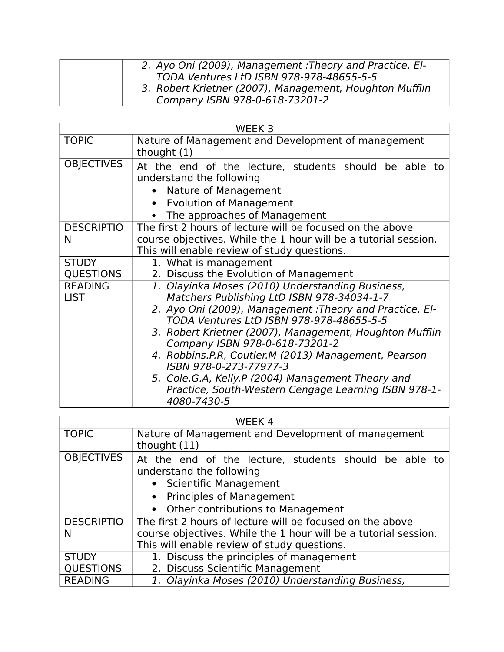| 2. Ayo Oni (2009), Management: Theory and Practice, El- |
|---------------------------------------------------------|
| TODA Ventures LtD ISBN 978-978-48655-5-5                |
| 3. Robert Krietner (2007), Management, Houghton Mufflin |
| Company ISBN 978-0-618-73201-2                          |

| WEEK <sub>3</sub>                |                                                                                                                                                                                                                                                                                                                                                                                                                                                                                                                  |  |
|----------------------------------|------------------------------------------------------------------------------------------------------------------------------------------------------------------------------------------------------------------------------------------------------------------------------------------------------------------------------------------------------------------------------------------------------------------------------------------------------------------------------------------------------------------|--|
| <b>TOPIC</b>                     | Nature of Management and Development of management<br>thought $(1)$                                                                                                                                                                                                                                                                                                                                                                                                                                              |  |
| <b>OBJECTIVES</b>                | At the end of the lecture, students should be able to<br>understand the following<br>Nature of Management<br><b>Evolution of Management</b><br>$\bullet$<br>The approaches of Management                                                                                                                                                                                                                                                                                                                         |  |
| <b>DESCRIPTIO</b><br>N           | The first 2 hours of lecture will be focused on the above<br>course objectives. While the 1 hour will be a tutorial session.<br>This will enable review of study questions.                                                                                                                                                                                                                                                                                                                                      |  |
| <b>STUDY</b><br><b>QUESTIONS</b> | 1. What is management<br>2. Discuss the Evolution of Management                                                                                                                                                                                                                                                                                                                                                                                                                                                  |  |
| <b>READING</b><br><b>LIST</b>    | 1. Olayinka Moses (2010) Understanding Business,<br>Matchers Publishing LtD ISBN 978-34034-1-7<br>2. Ayo Oni (2009), Management: Theory and Practice, El-<br>TODA Ventures LtD ISBN 978-978-48655-5-5<br>3. Robert Krietner (2007), Management, Houghton Mufflin<br>Company ISBN 978-0-618-73201-2<br>4. Robbins.P.R, Coutler.M (2013) Management, Pearson<br>ISBN 978-0-273-77977-3<br>5. Cole.G.A, Kelly.P (2004) Management Theory and<br>Practice, South-Western Cengage Learning ISBN 978-1-<br>4080-7430-5 |  |

|                                  | WEEK 4                                                                                                                                                                                 |  |
|----------------------------------|----------------------------------------------------------------------------------------------------------------------------------------------------------------------------------------|--|
| <b>TOPIC</b>                     | Nature of Management and Development of management<br>thought (11)                                                                                                                     |  |
| <b>OBJECTIVES</b>                | At the end of the lecture, students should be able to<br>understand the following<br>• Scientific Management<br><b>Principles of Management</b><br>• Other contributions to Management |  |
| <b>DESCRIPTIO</b><br>N           | The first 2 hours of lecture will be focused on the above<br>course objectives. While the 1 hour will be a tutorial session.<br>This will enable review of study questions.            |  |
| <b>STUDY</b><br><b>QUESTIONS</b> | 1. Discuss the principles of management<br>2. Discuss Scientific Management                                                                                                            |  |
| <b>READING</b>                   | 1. Olayinka Moses (2010) Understanding Business,                                                                                                                                       |  |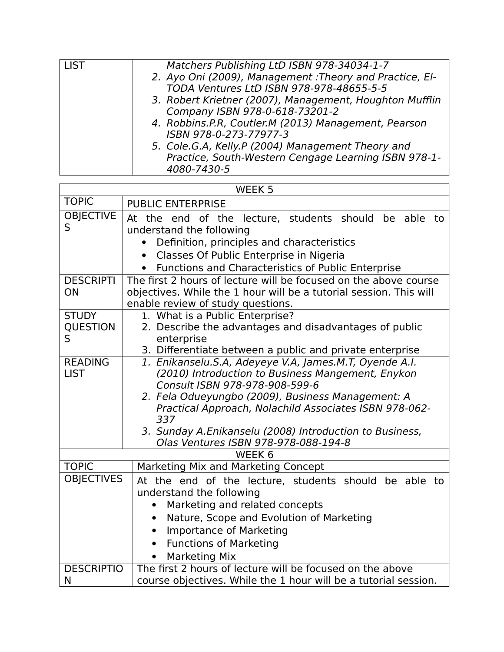| Matchers Publishing LtD ISBN 978-34034-1-7               |
|----------------------------------------------------------|
| 2. Ayo Oni (2009), Management : Theory and Practice, El- |
| TODA Ventures LtD ISBN 978-978-48655-5-5                 |
| 3. Robert Krietner (2007), Management, Houghton Mufflin  |
| Company ISBN 978-0-618-73201-2                           |
| 4. Robbins.P.R, Coutler.M (2013) Management, Pearson     |
| ISBN 978-0-273-77977-3                                   |
| 5. Cole.G.A, Kelly.P (2004) Management Theory and        |
| Practice, South-Western Cengage Learning ISBN 978-1-     |
| 4080-7430-5                                              |
|                                                          |

| WEEK <sub>5</sub>                    |                                                                                                                                                                                                                                               |  |
|--------------------------------------|-----------------------------------------------------------------------------------------------------------------------------------------------------------------------------------------------------------------------------------------------|--|
| <b>TOPIC</b>                         | <b>PUBLIC ENTERPRISE</b>                                                                                                                                                                                                                      |  |
| <b>OBJECTIVE</b><br>S                | At the end of the lecture, students should be able to<br>understand the following<br>Definition, principles and characteristics<br>Classes Of Public Enterprise in Nigeria<br>$\bullet$<br>Functions and Characteristics of Public Enterprise |  |
| <b>DESCRIPTI</b>                     | The first 2 hours of lecture will be focused on the above course                                                                                                                                                                              |  |
| ON                                   | objectives. While the 1 hour will be a tutorial session. This will<br>enable review of study questions.                                                                                                                                       |  |
| <b>STUDY</b><br><b>QUESTION</b><br>S | 1. What is a Public Enterprise?<br>2. Describe the advantages and disadvantages of public<br>enterprise<br>3. Differentiate between a public and private enterprise                                                                           |  |
| <b>READING</b><br><b>LIST</b>        | 1. Enikanselu.S.A, Adeyeye V.A, James.M.T, Oyende A.I.<br>(2010) Introduction to Business Mangement, Enykon                                                                                                                                   |  |
|                                      | Consult ISBN 978-978-908-599-6<br>2. Fela Odueyungbo (2009), Business Management: A                                                                                                                                                           |  |
|                                      | Practical Approach, Nolachild Associates ISBN 978-062-<br>337                                                                                                                                                                                 |  |
|                                      | 3. Sunday A.Enikanselu (2008) Introduction to Business,<br>Olas Ventures ISBN 978-978-088-194-8                                                                                                                                               |  |
| WEEK <sub>6</sub>                    |                                                                                                                                                                                                                                               |  |
| <b>TOPIC</b>                         | Marketing Mix and Marketing Concept                                                                                                                                                                                                           |  |
| <b>OBJECTIVES</b>                    | At the end of the lecture, students should be able to<br>understand the following<br>Marketing and related concepts<br>$\bullet$                                                                                                              |  |
|                                      | Nature, Scope and Evolution of Marketing<br>$\bullet$                                                                                                                                                                                         |  |
|                                      | <b>Importance of Marketing</b><br>$\bullet$                                                                                                                                                                                                   |  |
|                                      | <b>Functions of Marketing</b><br>$\bullet$                                                                                                                                                                                                    |  |
|                                      | <b>Marketing Mix</b>                                                                                                                                                                                                                          |  |
| <b>DESCRIPTIO</b><br>N               | The first 2 hours of lecture will be focused on the above<br>course objectives. While the 1 hour will be a tutorial session.                                                                                                                  |  |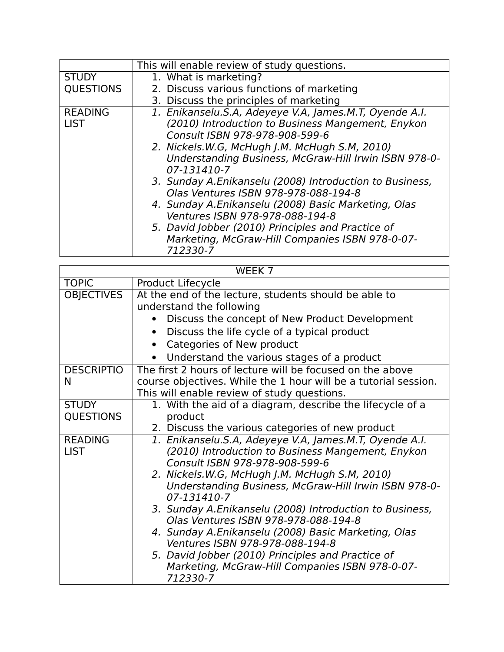|                  | This will enable review of study questions.             |
|------------------|---------------------------------------------------------|
| <b>STUDY</b>     | 1. What is marketing?                                   |
| <b>QUESTIONS</b> | 2. Discuss various functions of marketing               |
|                  | 3. Discuss the principles of marketing                  |
| <b>READING</b>   | 1. Enikanselu.S.A, Adeyeye V.A, James.M.T, Oyende A.I.  |
| <b>LIST</b>      | (2010) Introduction to Business Mangement, Enykon       |
|                  | Consult ISBN 978-978-908-599-6                          |
|                  | 2. Nickels.W.G, McHugh J.M. McHugh S.M, 2010)           |
|                  | Understanding Business, McGraw-Hill Irwin ISBN 978-0-   |
|                  | 07-131410-7                                             |
|                  | 3. Sunday A.Enikanselu (2008) Introduction to Business, |
|                  | Olas Ventures ISBN 978-978-088-194-8                    |
|                  | 4. Sunday A.Enikanselu (2008) Basic Marketing, Olas     |
|                  | Ventures ISBN 978-978-088-194-8                         |
|                  | 5. David Jobber (2010) Principles and Practice of       |
|                  | Marketing, McGraw-Hill Companies ISBN 978-0-07-         |
|                  | 712330-7                                                |
|                  |                                                         |

| WEEK <sub>7</sub>                                                                      |  |
|----------------------------------------------------------------------------------------|--|
| Product Lifecycle                                                                      |  |
| At the end of the lecture, students should be able to<br>understand the following      |  |
| Discuss the concept of New Product Development                                         |  |
| Discuss the life cycle of a typical product                                            |  |
| Categories of New product<br>$\bullet$                                                 |  |
| Understand the various stages of a product                                             |  |
| The first 2 hours of lecture will be focused on the above                              |  |
| course objectives. While the 1 hour will be a tutorial session.                        |  |
| This will enable review of study questions.                                            |  |
| 1. With the aid of a diagram, describe the lifecycle of a                              |  |
| product                                                                                |  |
| 2. Discuss the various categories of new product                                       |  |
| 1. Enikanselu.S.A, Adeyeye V.A, James.M.T, Oyende A.I.                                 |  |
| (2010) Introduction to Business Mangement, Enykon<br>Consult ISBN 978-978-908-599-6    |  |
| 2. Nickels.W.G, McHugh J.M. McHugh S.M, 2010)                                          |  |
| Understanding Business, McGraw-Hill Irwin ISBN 978-0-<br>07-131410-7                   |  |
| 3. Sunday A.Enikanselu (2008) Introduction to Business,                                |  |
| Olas Ventures ISBN 978-978-088-194-8                                                   |  |
| 4. Sunday A.Enikanselu (2008) Basic Marketing, Olas<br>Ventures ISBN 978-978-088-194-8 |  |
| 5. David Jobber (2010) Principles and Practice of                                      |  |
| Marketing, McGraw-Hill Companies ISBN 978-0-07-<br>712330-7                            |  |
|                                                                                        |  |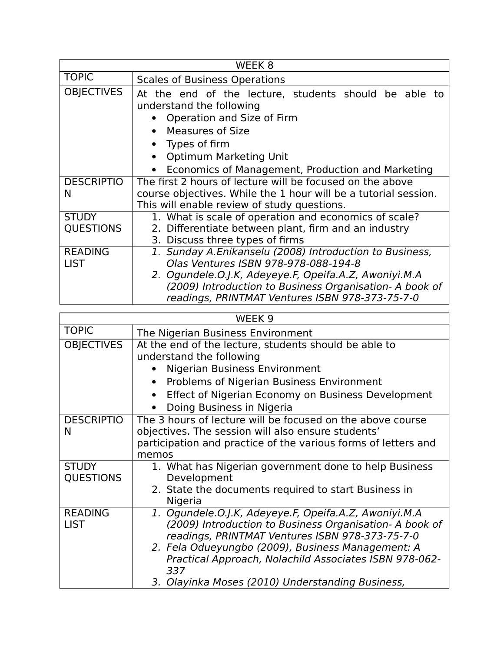|                                  | WEEK <sub>8</sub>                                                                                                                                                                                                                                                      |  |
|----------------------------------|------------------------------------------------------------------------------------------------------------------------------------------------------------------------------------------------------------------------------------------------------------------------|--|
| <b>TOPIC</b>                     | <b>Scales of Business Operations</b>                                                                                                                                                                                                                                   |  |
| <b>OBJECTIVES</b>                | At the end of the lecture, students should be able to<br>understand the following<br>Operation and Size of Firm<br>Measures of Size<br>Types of firm<br>Optimum Marketing Unit<br>Economics of Management, Production and Marketing                                    |  |
| <b>DESCRIPTIO</b><br>N           | The first 2 hours of lecture will be focused on the above<br>course objectives. While the 1 hour will be a tutorial session.<br>This will enable review of study questions.                                                                                            |  |
| <b>STUDY</b><br><b>QUESTIONS</b> | 1. What is scale of operation and economics of scale?<br>2. Differentiate between plant, firm and an industry<br>3. Discuss three types of firms                                                                                                                       |  |
| <b>READING</b><br><b>LIST</b>    | 1. Sunday A.Enikanselu (2008) Introduction to Business,<br>Olas Ventures ISBN 978-978-088-194-8<br>2. Ogundele.O.J.K, Adeyeye.F, Opeifa.A.Z, Awoniyi.M.A<br>(2009) Introduction to Business Organisation- A book of<br>readings, PRINTMAT Ventures ISBN 978-373-75-7-0 |  |

| WEEK <sub>9</sub>                |                                                                                                                                                                                                                                                                                                                                               |
|----------------------------------|-----------------------------------------------------------------------------------------------------------------------------------------------------------------------------------------------------------------------------------------------------------------------------------------------------------------------------------------------|
| <b>TOPIC</b>                     | The Nigerian Business Environment                                                                                                                                                                                                                                                                                                             |
| <b>OBJECTIVES</b>                | At the end of the lecture, students should be able to<br>understand the following<br><b>Nigerian Business Environment</b><br>Problems of Nigerian Business Environment<br>$\bullet$<br>Effect of Nigerian Economy on Business Development<br>Doing Business in Nigeria                                                                        |
| <b>DESCRIPTIO</b><br>N           | The 3 hours of lecture will be focused on the above course<br>objectives. The session will also ensure students'<br>participation and practice of the various forms of letters and<br>memos                                                                                                                                                   |
| <b>STUDY</b><br><b>QUESTIONS</b> | 1. What has Nigerian government done to help Business<br>Development<br>2. State the documents required to start Business in<br>Nigeria                                                                                                                                                                                                       |
| <b>READING</b><br><b>LIST</b>    | 1. Ogundele.O.J.K, Adeyeye.F, Opeifa.A.Z, Awoniyi.M.A<br>(2009) Introduction to Business Organisation- A book of<br>readings, PRINTMAT Ventures ISBN 978-373-75-7-0<br>2. Fela Odueyungbo (2009), Business Management: A<br>Practical Approach, Nolachild Associates ISBN 978-062-<br>337<br>3. Olayinka Moses (2010) Understanding Business, |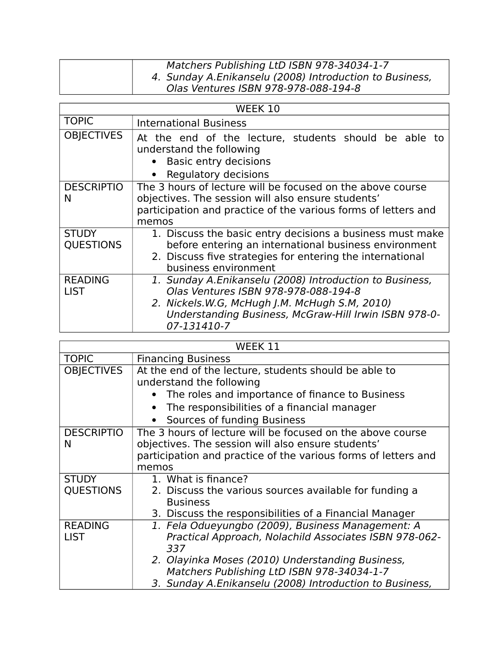| Matchers Publishing LtD ISBN 978-34034-1-7              |
|---------------------------------------------------------|
| 4. Sunday A.Enikanselu (2008) Introduction to Business, |
| Olas Ventures ISBN 978-978-088-194-8                    |

| WEEK 10                          |                                                                                                                                                                                                                          |
|----------------------------------|--------------------------------------------------------------------------------------------------------------------------------------------------------------------------------------------------------------------------|
| <b>TOPIC</b>                     | <b>International Business</b>                                                                                                                                                                                            |
| <b>OBJECTIVES</b>                | At the end of the lecture, students should be able to<br>understand the following<br><b>Basic entry decisions</b><br>Regulatory decisions                                                                                |
| <b>DESCRIPTIO</b><br>N           | The 3 hours of lecture will be focused on the above course<br>objectives. The session will also ensure students'<br>participation and practice of the various forms of letters and<br>memos                              |
| <b>STUDY</b><br><b>QUESTIONS</b> | 1. Discuss the basic entry decisions a business must make<br>before entering an international business environment<br>2. Discuss five strategies for entering the international<br>business environment                  |
| <b>READING</b><br><b>LIST</b>    | 1. Sunday A.Enikanselu (2008) Introduction to Business,<br>Olas Ventures ISBN 978-978-088-194-8<br>2. Nickels.W.G, McHugh J.M. McHugh S.M, 2010)<br>Understanding Business, McGraw-Hill Irwin ISBN 978-0-<br>07-131410-7 |

| WEEK 11                       |                                                                                                                    |  |
|-------------------------------|--------------------------------------------------------------------------------------------------------------------|--|
| <b>TOPIC</b>                  | <b>Financing Business</b>                                                                                          |  |
| <b>OBJECTIVES</b>             | At the end of the lecture, students should be able to<br>understand the following                                  |  |
|                               | The roles and importance of finance to Business                                                                    |  |
|                               | The responsibilities of a financial manager                                                                        |  |
|                               | Sources of funding Business                                                                                        |  |
| <b>DESCRIPTIO</b><br>N        | The 3 hours of lecture will be focused on the above course<br>objectives. The session will also ensure students'   |  |
|                               | participation and practice of the various forms of letters and                                                     |  |
|                               | memos                                                                                                              |  |
| <b>STUDY</b>                  | 1. What is finance?                                                                                                |  |
| <b>QUESTIONS</b>              | 2. Discuss the various sources available for funding a<br><b>Business</b>                                          |  |
|                               | 3. Discuss the responsibilities of a Financial Manager                                                             |  |
| <b>READING</b><br><b>LIST</b> | 1. Fela Odueyungbo (2009), Business Management: A<br>Practical Approach, Nolachild Associates ISBN 978-062-<br>337 |  |
|                               | 2. Olayinka Moses (2010) Understanding Business,<br>Matchers Publishing LtD ISBN 978-34034-1-7                     |  |
|                               | 3. Sunday A.Enikanselu (2008) Introduction to Business,                                                            |  |